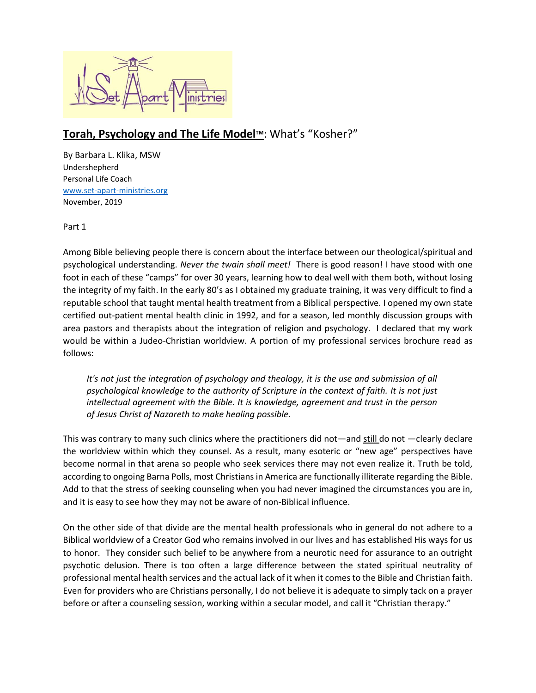

## **Torah, Psychology and The Life ModelTM**: What's "Kosher?"

By Barbara L. Klika, MSW Undershepherd Personal Life Coach [www.set-apart-ministries.org](http://www.set-apart-ministries.org/) November, 2019

Part 1

Among Bible believing people there is concern about the interface between our theological/spiritual and psychological understanding. *Never the twain shall meet!* There is good reason! I have stood with one foot in each of these "camps" for over 30 years, learning how to deal well with them both, without losing the integrity of my faith. In the early 80's as I obtained my graduate training, it was very difficult to find a reputable school that taught mental health treatment from a Biblical perspective. I opened my own state certified out-patient mental health clinic in 1992, and for a season, led monthly discussion groups with area pastors and therapists about the integration of religion and psychology. I declared that my work would be within a Judeo-Christian worldview. A portion of my professional services brochure read as follows:

*It's not just the integration of psychology and theology, it is the use and submission of all psychological knowledge to the authority of Scripture in the context of faith. It is not just intellectual agreement with the Bible. It is knowledge, agreement and trust in the person of Jesus Christ of Nazareth to make healing possible.*

This was contrary to many such clinics where the practitioners did not—and still do not —clearly declare the worldview within which they counsel. As a result, many esoteric or "new age" perspectives have become normal in that arena so people who seek services there may not even realize it. Truth be told, according to ongoing Barna Polls, most Christians in America are functionally illiterate regarding the Bible. Add to that the stress of seeking counseling when you had never imagined the circumstances you are in, and it is easy to see how they may not be aware of non-Biblical influence.

On the other side of that divide are the mental health professionals who in general do not adhere to a Biblical worldview of a Creator God who remains involved in our lives and has established His ways for us to honor. They consider such belief to be anywhere from a neurotic need for assurance to an outright psychotic delusion. There is too often a large difference between the stated spiritual neutrality of professional mental health services and the actual lack of it when it comes to the Bible and Christian faith. Even for providers who are Christians personally, I do not believe it is adequate to simply tack on a prayer before or after a counseling session, working within a secular model, and call it "Christian therapy."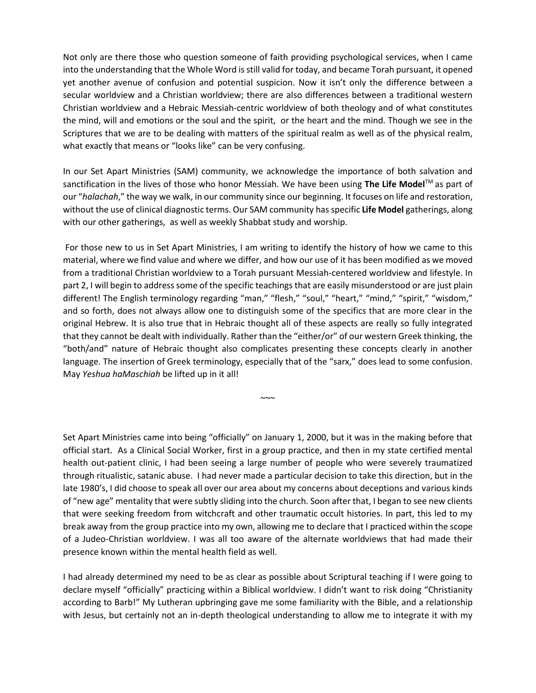Not only are there those who question someone of faith providing psychological services, when I came into the understanding that the Whole Word is still valid for today, and became Torah pursuant, it opened yet another avenue of confusion and potential suspicion. Now it isn't only the difference between a secular worldview and a Christian worldview; there are also differences between a traditional western Christian worldview and a Hebraic Messiah-centric worldview of both theology and of what constitutes the mind, will and emotions or the soul and the spirit, or the heart and the mind. Though we see in the Scriptures that we are to be dealing with matters of the spiritual realm as well as of the physical realm, what exactly that means or "looks like" can be very confusing.

In our Set Apart Ministries (SAM) community, we acknowledge the importance of both salvation and sanctification in the lives of those who honor Messiah. We have been using **The Life Model**TM as part of our "*halachah*," the way we walk, in our community since our beginning. It focuses on life and restoration, without the use of clinical diagnostic terms. Our SAM community has specific **Life Model** gatherings, along with our other gatherings, as well as weekly Shabbat study and worship.

For those new to us in Set Apart Ministries, I am writing to identify the history of how we came to this material, where we find value and where we differ, and how our use of it has been modified as we moved from a traditional Christian worldview to a Torah pursuant Messiah-centered worldview and lifestyle. In part 2, I will begin to address some of the specific teachings that are easily misunderstood or are just plain different! The English terminology regarding "man," "flesh," "soul," "heart," "mind," "spirit," "wisdom," and so forth, does not always allow one to distinguish some of the specifics that are more clear in the original Hebrew. It is also true that in Hebraic thought all of these aspects are really so fully integrated that they cannot be dealt with individually. Rather than the "either/or" of our western Greek thinking, the "both/and" nature of Hebraic thought also complicates presenting these concepts clearly in another language. The insertion of Greek terminology, especially that of the "sarx," does lead to some confusion. May *Yeshua haMaschiah* be lifted up in it all!

 $~\sim~$ 

Set Apart Ministries came into being "officially" on January 1, 2000, but it was in the making before that official start. As a Clinical Social Worker, first in a group practice, and then in my state certified mental health out-patient clinic, I had been seeing a large number of people who were severely traumatized through ritualistic, satanic abuse. I had never made a particular decision to take this direction, but in the late 1980's, I did choose to speak all over our area about my concerns about deceptions and various kinds of "new age" mentality that were subtly sliding into the church. Soon after that, I began to see new clients that were seeking freedom from witchcraft and other traumatic occult histories. In part, this led to my break away from the group practice into my own, allowing me to declare that I practiced within the scope of a Judeo-Christian worldview. I was all too aware of the alternate worldviews that had made their presence known within the mental health field as well.

I had already determined my need to be as clear as possible about Scriptural teaching if I were going to declare myself "officially" practicing within a Biblical worldview. I didn't want to risk doing "Christianity according to Barb!" My Lutheran upbringing gave me some familiarity with the Bible, and a relationship with Jesus, but certainly not an in-depth theological understanding to allow me to integrate it with my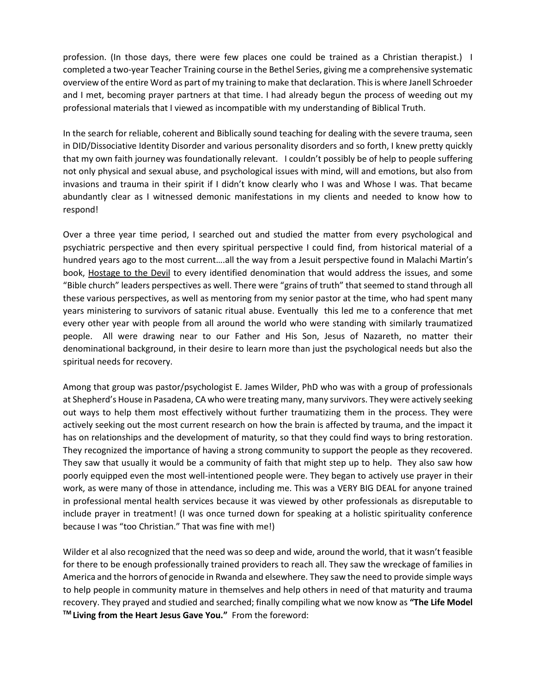profession. (In those days, there were few places one could be trained as a Christian therapist.) I completed a two-year Teacher Training course in the Bethel Series, giving me a comprehensive systematic overview of the entire Word as part of my training to make that declaration. This is where Janell Schroeder and I met, becoming prayer partners at that time. I had already begun the process of weeding out my professional materials that I viewed as incompatible with my understanding of Biblical Truth.

In the search for reliable, coherent and Biblically sound teaching for dealing with the severe trauma, seen in DID/Dissociative Identity Disorder and various personality disorders and so forth, I knew pretty quickly that my own faith journey was foundationally relevant. I couldn't possibly be of help to people suffering not only physical and sexual abuse, and psychological issues with mind, will and emotions, but also from invasions and trauma in their spirit if I didn't know clearly who I was and Whose I was. That became abundantly clear as I witnessed demonic manifestations in my clients and needed to know how to respond!

Over a three year time period, I searched out and studied the matter from every psychological and psychiatric perspective and then every spiritual perspective I could find, from historical material of a hundred years ago to the most current....all the way from a Jesuit perspective found in Malachi Martin's book, Hostage to the Devil to every identified denomination that would address the issues, and some "Bible church" leaders perspectives as well. There were "grains of truth" that seemed to stand through all these various perspectives, as well as mentoring from my senior pastor at the time, who had spent many years ministering to survivors of satanic ritual abuse. Eventually this led me to a conference that met every other year with people from all around the world who were standing with similarly traumatized people. All were drawing near to our Father and His Son, Jesus of Nazareth, no matter their denominational background, in their desire to learn more than just the psychological needs but also the spiritual needs for recovery.

Among that group was pastor/psychologist E. James Wilder, PhD who was with a group of professionals at Shepherd's House in Pasadena, CA who were treating many, many survivors. They were actively seeking out ways to help them most effectively without further traumatizing them in the process. They were actively seeking out the most current research on how the brain is affected by trauma, and the impact it has on relationships and the development of maturity, so that they could find ways to bring restoration. They recognized the importance of having a strong community to support the people as they recovered. They saw that usually it would be a community of faith that might step up to help. They also saw how poorly equipped even the most well-intentioned people were. They began to actively use prayer in their work, as were many of those in attendance, including me. This was a VERY BIG DEAL for anyone trained in professional mental health services because it was viewed by other professionals as disreputable to include prayer in treatment! (I was once turned down for speaking at a holistic spirituality conference because I was "too Christian." That was fine with me!)

Wilder et al also recognized that the need was so deep and wide, around the world, that it wasn't feasible for there to be enough professionally trained providers to reach all. They saw the wreckage of families in America and the horrors of genocide in Rwanda and elsewhere. They saw the need to provide simple ways to help people in community mature in themselves and help others in need of that maturity and trauma recovery. They prayed and studied and searched; finally compiling what we now know as **"The Life Model TM Living from the Heart Jesus Gave You."** From the foreword: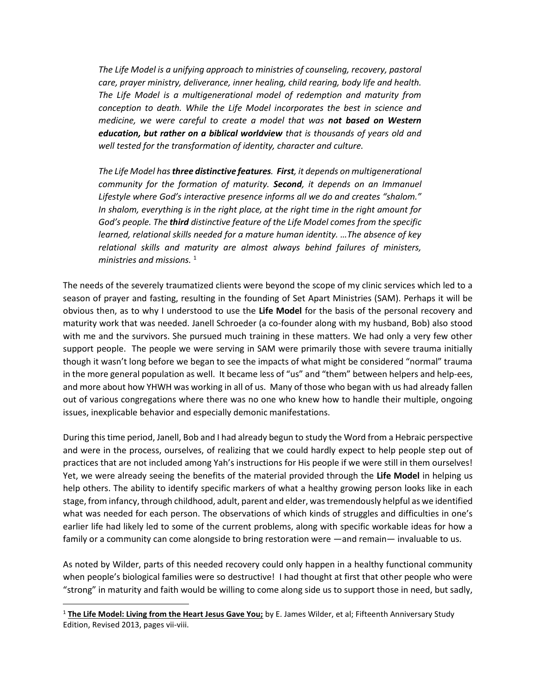*The Life Model is a unifying approach to ministries of counseling, recovery, pastoral care, prayer ministry, deliverance, inner healing, child rearing, body life and health. The Life Model is a multigenerational model of redemption and maturity from conception to death. While the Life Model incorporates the best in science and medicine, we were careful to create a model that was not based on Western education, but rather on a biblical worldview that is thousands of years old and well tested for the transformation of identity, character and culture.* 

*The Life Model has three distinctive features. First, it depends on multigenerational community for the formation of maturity. Second, it depends on an Immanuel Lifestyle where God's interactive presence informs all we do and creates "shalom." In shalom, everything is in the right place, at the right time in the right amount for God's people. The third distinctive feature of the Life Model comes from the specific learned, relational skills needed for a mature human identity. …The absence of key relational skills and maturity are almost always behind failures of ministers, ministries and missions.* <sup>1</sup>

The needs of the severely traumatized clients were beyond the scope of my clinic services which led to a season of prayer and fasting, resulting in the founding of Set Apart Ministries (SAM). Perhaps it will be obvious then, as to why I understood to use the **Life Model** for the basis of the personal recovery and maturity work that was needed. Janell Schroeder (a co-founder along with my husband, Bob) also stood with me and the survivors. She pursued much training in these matters. We had only a very few other support people. The people we were serving in SAM were primarily those with severe trauma initially though it wasn't long before we began to see the impacts of what might be considered "normal" trauma in the more general population as well. It became less of "us" and "them" between helpers and help-ees, and more about how YHWH was working in all of us. Many of those who began with us had already fallen out of various congregations where there was no one who knew how to handle their multiple, ongoing issues, inexplicable behavior and especially demonic manifestations.

During this time period, Janell, Bob and I had already begun to study the Word from a Hebraic perspective and were in the process, ourselves, of realizing that we could hardly expect to help people step out of practices that are not included among Yah's instructions for His people if we were still in them ourselves! Yet, we were already seeing the benefits of the material provided through the **Life Model** in helping us help others. The ability to identify specific markers of what a healthy growing person looks like in each stage, from infancy, through childhood, adult, parent and elder, was tremendously helpful as we identified what was needed for each person. The observations of which kinds of struggles and difficulties in one's earlier life had likely led to some of the current problems, along with specific workable ideas for how a family or a community can come alongside to bring restoration were —and remain— invaluable to us.

As noted by Wilder, parts of this needed recovery could only happen in a healthy functional community when people's biological families were so destructive! I had thought at first that other people who were "strong" in maturity and faith would be willing to come along side us to support those in need, but sadly,

<sup>1</sup> **The Life Model: Living from the Heart Jesus Gave You;** by E. James Wilder, et al; Fifteenth Anniversary Study Edition, Revised 2013, pages vii-viii.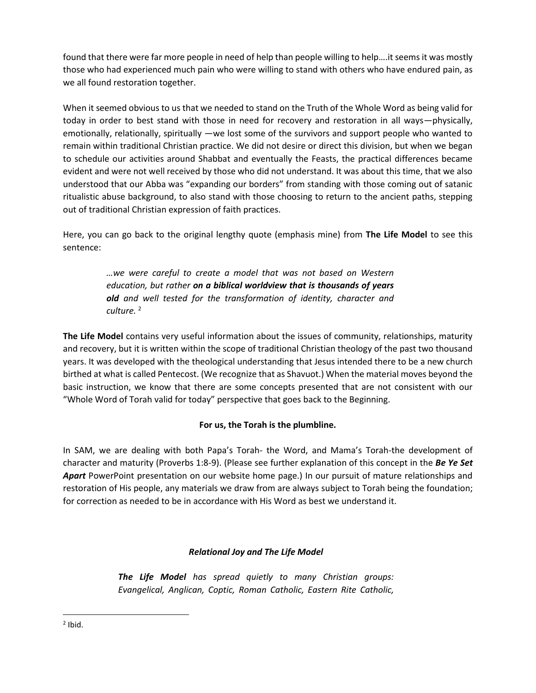found that there were far more people in need of help than people willing to help….it seems it was mostly those who had experienced much pain who were willing to stand with others who have endured pain, as we all found restoration together.

When it seemed obvious to us that we needed to stand on the Truth of the Whole Word as being valid for today in order to best stand with those in need for recovery and restoration in all ways—physically, emotionally, relationally, spiritually —we lost some of the survivors and support people who wanted to remain within traditional Christian practice. We did not desire or direct this division, but when we began to schedule our activities around Shabbat and eventually the Feasts, the practical differences became evident and were not well received by those who did not understand. It was about this time, that we also understood that our Abba was "expanding our borders" from standing with those coming out of satanic ritualistic abuse background, to also stand with those choosing to return to the ancient paths, stepping out of traditional Christian expression of faith practices.

Here, you can go back to the original lengthy quote (emphasis mine) from **The Life Model** to see this sentence:

> *…we were careful to create a model that was not based on Western education, but rather on a biblical worldview that is thousands of years old and well tested for the transformation of identity, character and culture.* <sup>2</sup>

**The Life Model** contains very useful information about the issues of community, relationships, maturity and recovery, but it is written within the scope of traditional Christian theology of the past two thousand years. It was developed with the theological understanding that Jesus intended there to be a new church birthed at what is called Pentecost. (We recognize that as Shavuot.) When the material moves beyond the basic instruction, we know that there are some concepts presented that are not consistent with our "Whole Word of Torah valid for today" perspective that goes back to the Beginning.

## **For us, the Torah is the plumbline.**

In SAM, we are dealing with both Papa's Torah- the Word, and Mama's Torah-the development of character and maturity (Proverbs 1:8-9). (Please see further explanation of this concept in the *Be Ye Set Apart* PowerPoint presentation on our website home page.) In our pursuit of mature relationships and restoration of His people, any materials we draw from are always subject to Torah being the foundation; for correction as needed to be in accordance with His Word as best we understand it.

## *Relational Joy and The Life Model*

*The Life Model has spread quietly to many Christian groups: Evangelical, Anglican, Coptic, Roman Catholic, Eastern Rite Catholic,* 

 $2$  Ibid.